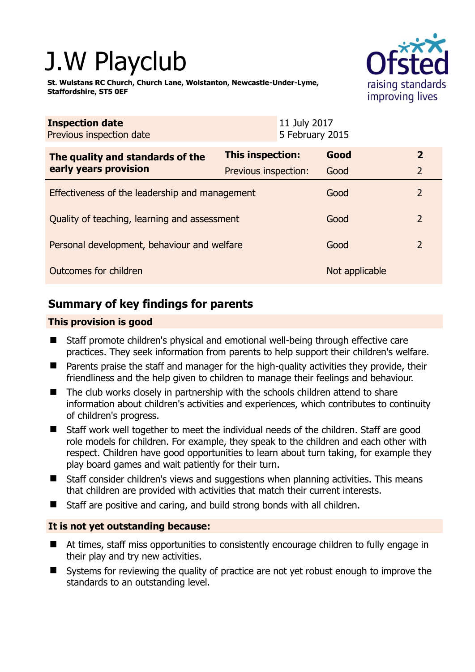# J.W Playclub

**St. Wulstans RC Church, Church Lane, Wolstanton, Newcastle-Under-Lyme, Staffordshire, ST5 0EF** 



| <b>Inspection date</b><br>Previous inspection date        |                         | 11 July 2017<br>5 February 2015 |                |                |
|-----------------------------------------------------------|-------------------------|---------------------------------|----------------|----------------|
| The quality and standards of the<br>early years provision | <b>This inspection:</b> |                                 | Good           | $\mathbf{2}$   |
|                                                           | Previous inspection:    |                                 | Good           | 2              |
| Effectiveness of the leadership and management            |                         |                                 | Good           | $\overline{2}$ |
| Quality of teaching, learning and assessment              |                         |                                 | Good           | $\overline{2}$ |
| Personal development, behaviour and welfare               |                         |                                 | Good           | $\overline{2}$ |
| Outcomes for children                                     |                         |                                 | Not applicable |                |

# **Summary of key findings for parents**

## **This provision is good**

- Staff promote children's physical and emotional well-being through effective care practices. They seek information from parents to help support their children's welfare.
- Parents praise the staff and manager for the high-quality activities they provide, their friendliness and the help given to children to manage their feelings and behaviour.
- The club works closely in partnership with the schools children attend to share information about children's activities and experiences, which contributes to continuity of children's progress.
- Staff work well together to meet the individual needs of the children. Staff are good role models for children. For example, they speak to the children and each other with respect. Children have good opportunities to learn about turn taking, for example they play board games and wait patiently for their turn.
- Staff consider children's views and suggestions when planning activities. This means that children are provided with activities that match their current interests.
- Staff are positive and caring, and build strong bonds with all children.

## **It is not yet outstanding because:**

- At times, staff miss opportunities to consistently encourage children to fully engage in their play and try new activities.
- Systems for reviewing the quality of practice are not yet robust enough to improve the standards to an outstanding level.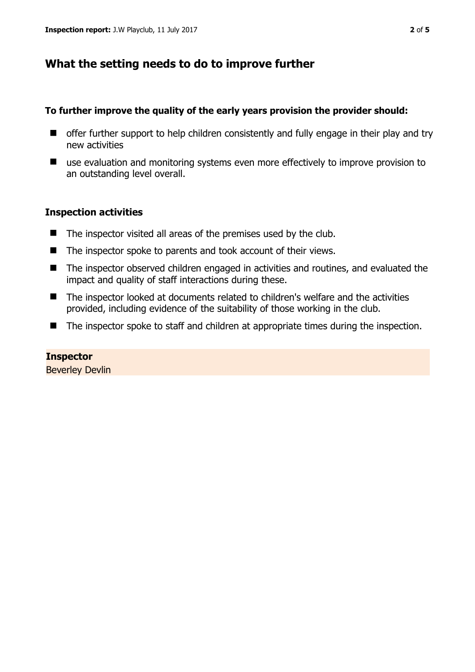# **What the setting needs to do to improve further**

## **To further improve the quality of the early years provision the provider should:**

- $\blacksquare$  offer further support to help children consistently and fully engage in their play and try new activities
- use evaluation and monitoring systems even more effectively to improve provision to an outstanding level overall.

## **Inspection activities**

- $\blacksquare$  The inspector visited all areas of the premises used by the club.
- The inspector spoke to parents and took account of their views.
- The inspector observed children engaged in activities and routines, and evaluated the impact and quality of staff interactions during these.
- The inspector looked at documents related to children's welfare and the activities provided, including evidence of the suitability of those working in the club.
- The inspector spoke to staff and children at appropriate times during the inspection.

# **Inspector**

Beverley Devlin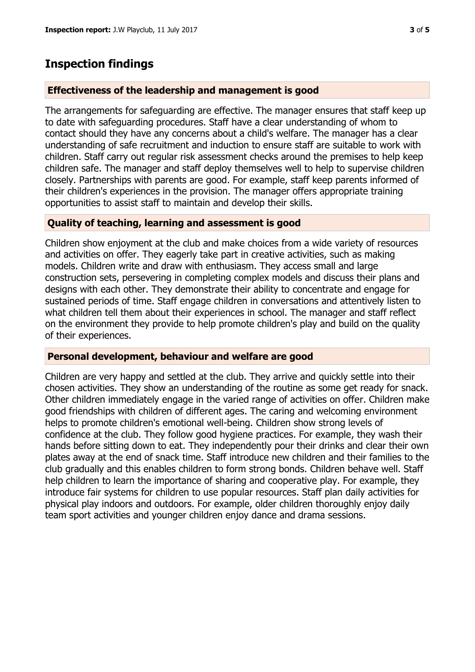## **Inspection findings**

## **Effectiveness of the leadership and management is good**

The arrangements for safeguarding are effective. The manager ensures that staff keep up to date with safeguarding procedures. Staff have a clear understanding of whom to contact should they have any concerns about a child's welfare. The manager has a clear understanding of safe recruitment and induction to ensure staff are suitable to work with children. Staff carry out regular risk assessment checks around the premises to help keep children safe. The manager and staff deploy themselves well to help to supervise children closely. Partnerships with parents are good. For example, staff keep parents informed of their children's experiences in the provision. The manager offers appropriate training opportunities to assist staff to maintain and develop their skills.

### **Quality of teaching, learning and assessment is good**

Children show enjoyment at the club and make choices from a wide variety of resources and activities on offer. They eagerly take part in creative activities, such as making models. Children write and draw with enthusiasm. They access small and large construction sets, persevering in completing complex models and discuss their plans and designs with each other. They demonstrate their ability to concentrate and engage for sustained periods of time. Staff engage children in conversations and attentively listen to what children tell them about their experiences in school. The manager and staff reflect on the environment they provide to help promote children's play and build on the quality of their experiences.

### **Personal development, behaviour and welfare are good**

Children are very happy and settled at the club. They arrive and quickly settle into their chosen activities. They show an understanding of the routine as some get ready for snack. Other children immediately engage in the varied range of activities on offer. Children make good friendships with children of different ages. The caring and welcoming environment helps to promote children's emotional well-being. Children show strong levels of confidence at the club. They follow good hygiene practices. For example, they wash their hands before sitting down to eat. They independently pour their drinks and clear their own plates away at the end of snack time. Staff introduce new children and their families to the club gradually and this enables children to form strong bonds. Children behave well. Staff help children to learn the importance of sharing and cooperative play. For example, they introduce fair systems for children to use popular resources. Staff plan daily activities for physical play indoors and outdoors. For example, older children thoroughly enjoy daily team sport activities and younger children enjoy dance and drama sessions.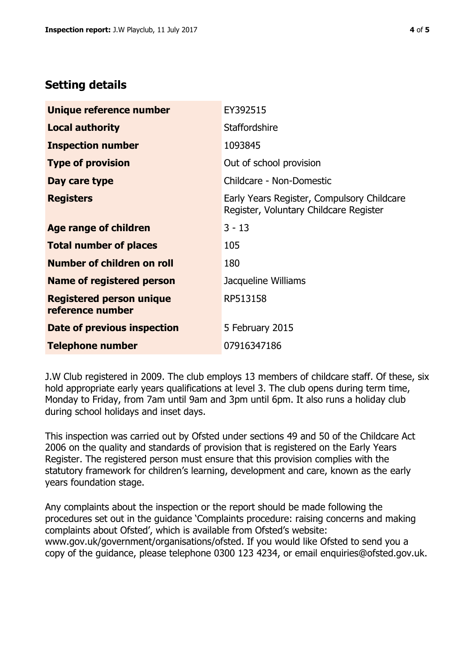## **Setting details**

| Unique reference number                             | EY392515                                                                             |  |
|-----------------------------------------------------|--------------------------------------------------------------------------------------|--|
| <b>Local authority</b>                              | <b>Staffordshire</b>                                                                 |  |
| <b>Inspection number</b>                            | 1093845                                                                              |  |
| <b>Type of provision</b>                            | Out of school provision                                                              |  |
| Day care type                                       | Childcare - Non-Domestic                                                             |  |
| <b>Registers</b>                                    | Early Years Register, Compulsory Childcare<br>Register, Voluntary Childcare Register |  |
| Age range of children                               | $3 - 13$                                                                             |  |
| <b>Total number of places</b>                       | 105                                                                                  |  |
| Number of children on roll                          | 180                                                                                  |  |
| Name of registered person                           | Jacqueline Williams                                                                  |  |
| <b>Registered person unique</b><br>reference number | RP513158                                                                             |  |
| Date of previous inspection                         | 5 February 2015                                                                      |  |
| <b>Telephone number</b>                             | 07916347186                                                                          |  |

J.W Club registered in 2009. The club employs 13 members of childcare staff. Of these, six hold appropriate early years qualifications at level 3. The club opens during term time, Monday to Friday, from 7am until 9am and 3pm until 6pm. It also runs a holiday club during school holidays and inset days.

This inspection was carried out by Ofsted under sections 49 and 50 of the Childcare Act 2006 on the quality and standards of provision that is registered on the Early Years Register. The registered person must ensure that this provision complies with the statutory framework for children's learning, development and care, known as the early years foundation stage.

Any complaints about the inspection or the report should be made following the procedures set out in the guidance 'Complaints procedure: raising concerns and making complaints about Ofsted', which is available from Ofsted's website: www.gov.uk/government/organisations/ofsted. If you would like Ofsted to send you a copy of the guidance, please telephone 0300 123 4234, or email enquiries@ofsted.gov.uk.